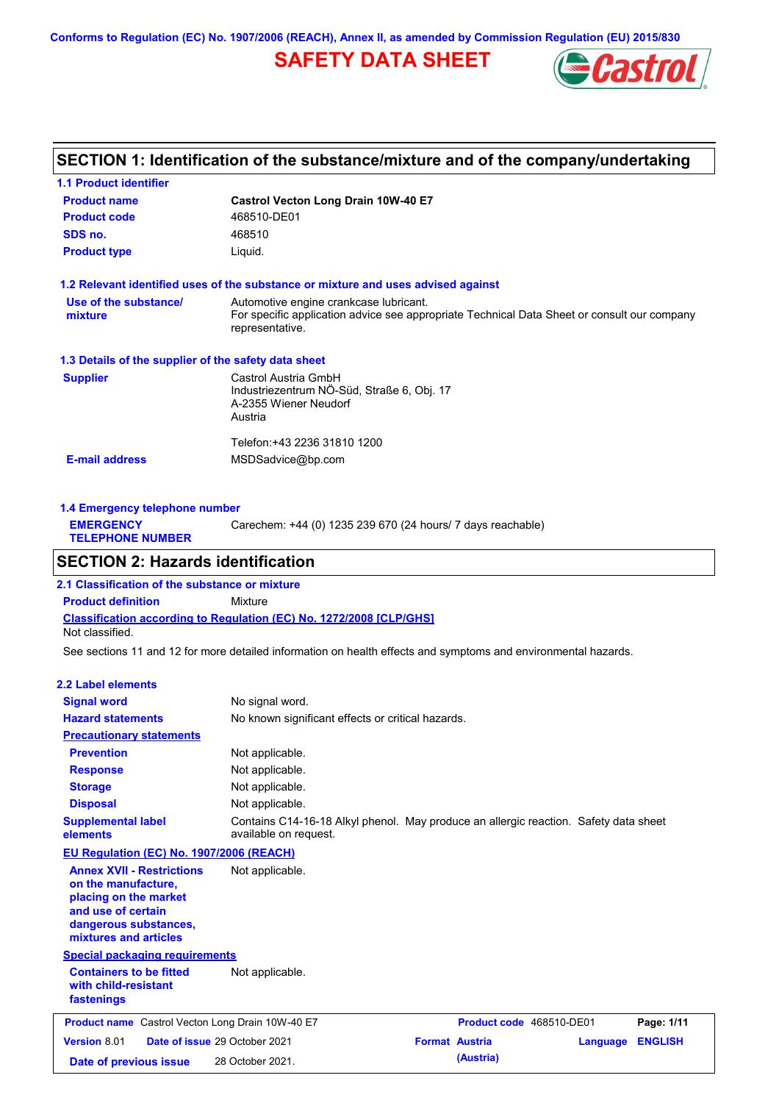**Conforms to Regulation (EC) No. 1907/2006 (REACH), Annex II, as amended by Commission Regulation (EU) 2015/830**

# **SAFETY DATA SHEET**



# **SECTION 1: Identification of the substance/mixture and of the company/undertaking**

| <b>1.1 Product identifier</b>                        |                                                                                                                                                          |
|------------------------------------------------------|----------------------------------------------------------------------------------------------------------------------------------------------------------|
| <b>Product name</b>                                  | Castrol Vecton Long Drain 10W-40 E7                                                                                                                      |
| <b>Product code</b>                                  | 468510-DE01                                                                                                                                              |
| SDS no.                                              | 468510                                                                                                                                                   |
| <b>Product type</b>                                  | Liquid.                                                                                                                                                  |
|                                                      | 1.2 Relevant identified uses of the substance or mixture and uses advised against                                                                        |
| Use of the substance/<br>mixture                     | Automotive engine crankcase lubricant.<br>For specific application advice see appropriate Technical Data Sheet or consult our company<br>representative. |
| 1.3 Details of the supplier of the safety data sheet |                                                                                                                                                          |
| <b>Supplier</b>                                      | Castrol Austria GmbH<br>Industriezentrum NÖ-Süd, Straße 6, Obj. 17<br>A-2355 Wiener Neudorf<br>Austria                                                   |
| <b>E-mail address</b>                                | Telefon:+43 2236 31810 1200<br>MSDSadvice@bp.com                                                                                                         |

| 1.4 Emergency telephone number              |                                                             |  |  |  |  |
|---------------------------------------------|-------------------------------------------------------------|--|--|--|--|
| <b>EMERGENCY</b><br><b>TELEPHONE NUMBER</b> | Carechem: +44 (0) 1235 239 670 (24 hours/ 7 days reachable) |  |  |  |  |
|                                             |                                                             |  |  |  |  |

## **SECTION 2: Hazards identification**

**Classification according to Regulation (EC) No. 1272/2008 [CLP/GHS] 2.1 Classification of the substance or mixture Product definition** Mixture Not classified.

See sections 11 and 12 for more detailed information on health effects and symptoms and environmental hazards.

#### **2.2 Label elements**

| <b>Signal word</b><br><b>Hazard statements</b>                                                                                                           | No signal word.<br>No known significant effects or critical hazards.                                          |                       |                          |          |                |
|----------------------------------------------------------------------------------------------------------------------------------------------------------|---------------------------------------------------------------------------------------------------------------|-----------------------|--------------------------|----------|----------------|
| <b>Precautionary statements</b>                                                                                                                          |                                                                                                               |                       |                          |          |                |
| <b>Prevention</b>                                                                                                                                        | Not applicable.                                                                                               |                       |                          |          |                |
| <b>Response</b>                                                                                                                                          | Not applicable.                                                                                               |                       |                          |          |                |
| <b>Storage</b>                                                                                                                                           | Not applicable.                                                                                               |                       |                          |          |                |
| <b>Disposal</b>                                                                                                                                          | Not applicable.                                                                                               |                       |                          |          |                |
| <b>Supplemental label</b><br>elements                                                                                                                    | Contains C14-16-18 Alkyl phenol. May produce an allergic reaction. Safety data sheet<br>available on request. |                       |                          |          |                |
| <b>EU Regulation (EC) No. 1907/2006 (REACH)</b>                                                                                                          |                                                                                                               |                       |                          |          |                |
| <b>Annex XVII - Restrictions</b><br>on the manufacture.<br>placing on the market<br>and use of certain<br>dangerous substances,<br>mixtures and articles | Not applicable.                                                                                               |                       |                          |          |                |
| <b>Special packaging requirements</b>                                                                                                                    |                                                                                                               |                       |                          |          |                |
| <b>Containers to be fitted</b><br>with child-resistant<br>fastenings                                                                                     | Not applicable.                                                                                               |                       |                          |          |                |
| <b>Product name</b> Castrol Vecton Long Drain 10W-40 E7                                                                                                  |                                                                                                               |                       | Product code 468510-DE01 |          | Page: 1/11     |
| <b>Version 8.01</b>                                                                                                                                      | Date of issue 29 October 2021                                                                                 | <b>Format Austria</b> |                          | Language | <b>ENGLISH</b> |
| Date of previous issue                                                                                                                                   | 28 October 2021.                                                                                              |                       | (Austria)                |          |                |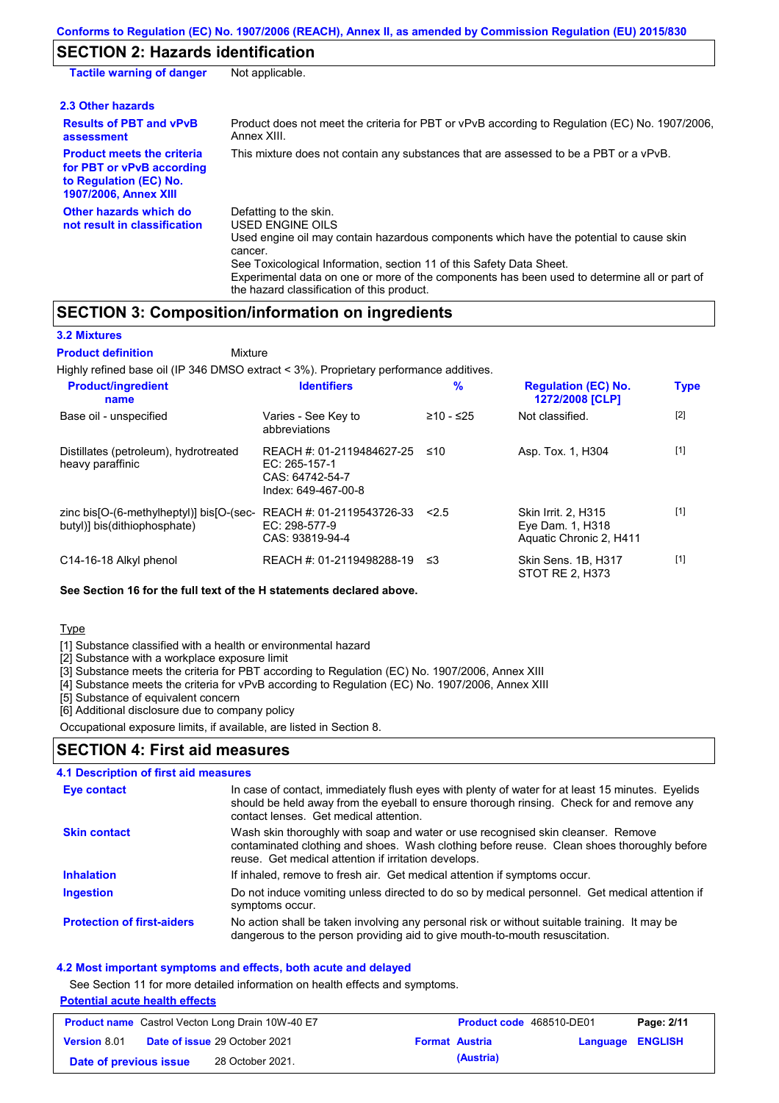# **SECTION 2: Hazards identification**

| <b>Tactile warning of danger</b>                                                                                         | Not applicable.                                                                                                                                                                                                                                                                                                                                                        |
|--------------------------------------------------------------------------------------------------------------------------|------------------------------------------------------------------------------------------------------------------------------------------------------------------------------------------------------------------------------------------------------------------------------------------------------------------------------------------------------------------------|
| 2.3 Other hazards                                                                                                        |                                                                                                                                                                                                                                                                                                                                                                        |
| <b>Results of PBT and vPvB</b><br>assessment                                                                             | Product does not meet the criteria for PBT or vPvB according to Regulation (EC) No. 1907/2006,<br>Annex XIII.                                                                                                                                                                                                                                                          |
| <b>Product meets the criteria</b><br>for PBT or vPvB according<br>to Regulation (EC) No.<br><b>1907/2006, Annex XIII</b> | This mixture does not contain any substances that are assessed to be a PBT or a vPvB.                                                                                                                                                                                                                                                                                  |
| Other hazards which do<br>not result in classification                                                                   | Defatting to the skin.<br>USED ENGINE OILS<br>Used engine oil may contain hazardous components which have the potential to cause skin<br>cancer.<br>See Toxicological Information, section 11 of this Safety Data Sheet.<br>Experimental data on one or more of the components has been used to determine all or part of<br>the hazard classification of this product. |

# **SECTION 3: Composition/information on ingredients**

Mixture

**3.2 Mixtures**

**Product definition**

Highly refined base oil (IP 346 DMSO extract < 3%). Proprietary performance additives.

| <b>Product/ingredient</b><br>name                                        | <b>Identifiers</b>                                                                   | $\%$        | <b>Regulation (EC) No.</b><br>1272/2008 [CLP]                             | <b>Type</b> |
|--------------------------------------------------------------------------|--------------------------------------------------------------------------------------|-------------|---------------------------------------------------------------------------|-------------|
| Base oil - unspecified                                                   | Varies - See Key to<br>abbreviations                                                 | $≥10 - ≤25$ | Not classified.                                                           | $[2]$       |
| Distillates (petroleum), hydrotreated<br>heavy paraffinic                | REACH #: 01-2119484627-25<br>EC: 265-157-1<br>CAS: 64742-54-7<br>Index: 649-467-00-8 | ≤10         | Asp. Tox. 1, H304                                                         | $[1]$       |
| zinc bis[O-(6-methylheptyl)] bis[O-(sec-<br>butyl)] bis(dithiophosphate) | REACH #: 01-2119543726-33<br>EC: 298-577-9<br>CAS: 93819-94-4                        | 2.5         | <b>Skin Irrit. 2. H315</b><br>Eye Dam. 1, H318<br>Aquatic Chronic 2, H411 | $[1]$       |
| C14-16-18 Alkyl phenol                                                   | REACH #: 01-2119498288-19                                                            | ו≥ ≤        | Skin Sens. 1B, H317<br>STOT RE 2. H373                                    | $[1]$       |

### **See Section 16 for the full text of the H statements declared above.**

Type

[1] Substance classified with a health or environmental hazard

[2] Substance with a workplace exposure limit

[3] Substance meets the criteria for PBT according to Regulation (EC) No. 1907/2006, Annex XIII

[4] Substance meets the criteria for vPvB according to Regulation (EC) No. 1907/2006, Annex XIII

[5] Substance of equivalent concern

[6] Additional disclosure due to company policy

Occupational exposure limits, if available, are listed in Section 8.

### **SECTION 4: First aid measures**

| Eye contact                       | In case of contact, immediately flush eyes with plenty of water for at least 15 minutes. Eyelids<br>should be held away from the eyeball to ensure thorough rinsing. Check for and remove any<br>contact lenses. Get medical attention. |
|-----------------------------------|-----------------------------------------------------------------------------------------------------------------------------------------------------------------------------------------------------------------------------------------|
| <b>Skin contact</b>               | Wash skin thoroughly with soap and water or use recognised skin cleanser. Remove<br>contaminated clothing and shoes. Wash clothing before reuse. Clean shoes thoroughly before<br>reuse. Get medical attention if irritation develops.  |
| <b>Inhalation</b>                 | If inhaled, remove to fresh air. Get medical attention if symptoms occur.                                                                                                                                                               |
| Ingestion                         | Do not induce vomiting unless directed to do so by medical personnel. Get medical attention if<br>symptoms occur.                                                                                                                       |
| <b>Protection of first-aiders</b> | No action shall be taken involving any personal risk or without suitable training. It may be<br>dangerous to the person providing aid to give mouth-to-mouth resuscitation.                                                             |

### **4.2 Most important symptoms and effects, both acute and delayed**

See Section 11 for more detailed information on health effects and symptoms.

### **Potential acute health effects**

| <b>Product name</b> Castrol Vecton Long Drain 10W-40 E7 |  |                                      | Product code 468510-DE01 | Page: 2/11            |                  |  |
|---------------------------------------------------------|--|--------------------------------------|--------------------------|-----------------------|------------------|--|
| <b>Version 8.01</b>                                     |  | <b>Date of issue 29 October 2021</b> |                          | <b>Format Austria</b> | Language ENGLISH |  |
| Date of previous issue                                  |  | 28 October 2021.                     |                          | (Austria)             |                  |  |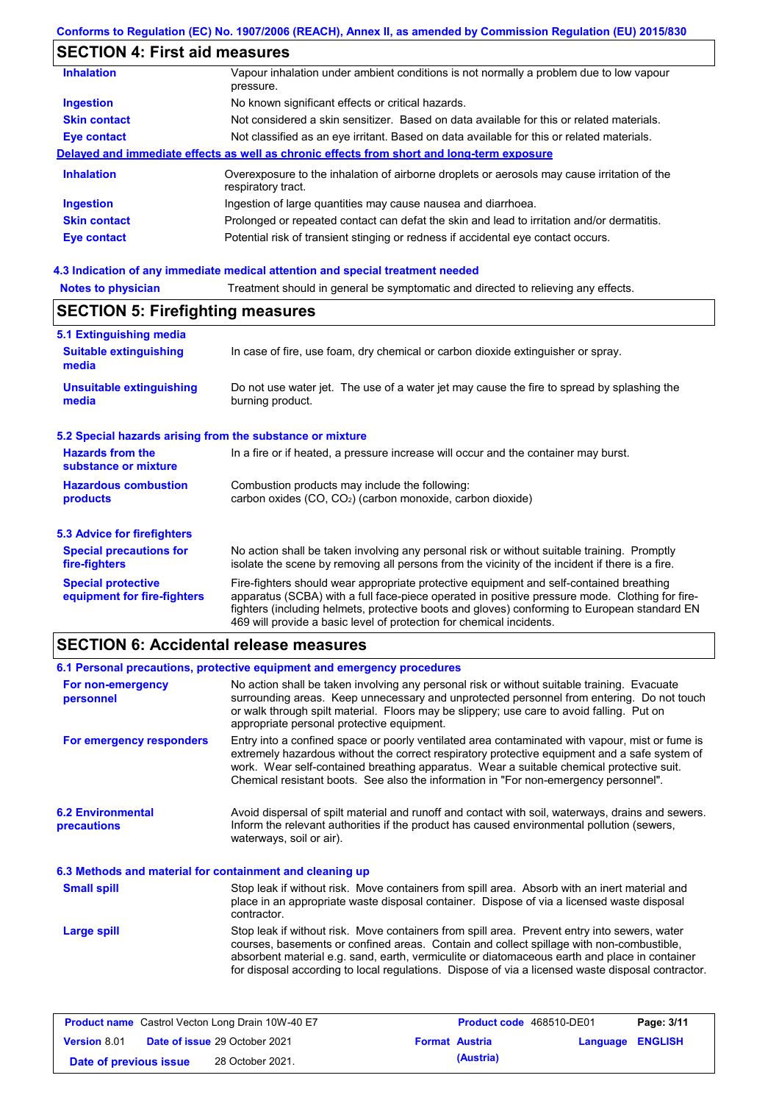### **Conforms to Regulation (EC) No. 1907/2006 (REACH), Annex II, as amended by Commission Regulation (EU) 2015/830**

# **SECTION 4: First aid measures**

| <b>Inhalation</b>   | Vapour inhalation under ambient conditions is not normally a problem due to low vapour<br>pressure.               |
|---------------------|-------------------------------------------------------------------------------------------------------------------|
| <b>Ingestion</b>    | No known significant effects or critical hazards.                                                                 |
| <b>Skin contact</b> | Not considered a skin sensitizer. Based on data available for this or related materials.                          |
| Eye contact         | Not classified as an eye irritant. Based on data available for this or related materials.                         |
|                     | Delayed and immediate effects as well as chronic effects from short and long-term exposure                        |
| <b>Inhalation</b>   | Overexposure to the inhalation of airborne droplets or aerosols may cause irritation of the<br>respiratory tract. |
| <b>Ingestion</b>    | Ingestion of large quantities may cause nausea and diarrhoea.                                                     |
| <b>Skin contact</b> | Prolonged or repeated contact can defat the skin and lead to irritation and/or dermatitis.                        |
| Eye contact         | Potential risk of transient stinging or redness if accidental eye contact occurs.                                 |
|                     |                                                                                                                   |

# **4.3 Indication of any immediate medical attention and special treatment needed**

| <b>NULGO IO DIIVOIGHI</b>                                 | Treatment should in general be symptomatic and unceled to relieving any enects.                                                                                                                                                                                                           |  |  |  |
|-----------------------------------------------------------|-------------------------------------------------------------------------------------------------------------------------------------------------------------------------------------------------------------------------------------------------------------------------------------------|--|--|--|
| <b>SECTION 5: Firefighting measures</b>                   |                                                                                                                                                                                                                                                                                           |  |  |  |
| 5.1 Extinguishing media                                   |                                                                                                                                                                                                                                                                                           |  |  |  |
| <b>Suitable extinguishing</b><br>media                    | In case of fire, use foam, dry chemical or carbon dioxide extinguisher or spray.                                                                                                                                                                                                          |  |  |  |
| <b>Unsuitable extinguishing</b><br>media                  | Do not use water jet. The use of a water jet may cause the fire to spread by splashing the<br>burning product.                                                                                                                                                                            |  |  |  |
| 5.2 Special hazards arising from the substance or mixture |                                                                                                                                                                                                                                                                                           |  |  |  |
| <b>Hazards from the</b><br>substance or mixture           | In a fire or if heated, a pressure increase will occur and the container may burst.                                                                                                                                                                                                       |  |  |  |
| <b>Hazardous combustion</b><br>products                   | Combustion products may include the following:<br>carbon oxides (CO, CO <sub>2</sub> ) (carbon monoxide, carbon dioxide)                                                                                                                                                                  |  |  |  |
| 5.3 Advice for firefighters                               |                                                                                                                                                                                                                                                                                           |  |  |  |
| <b>Special precautions for</b><br>fire-fighters           | No action shall be taken involving any personal risk or without suitable training. Promptly<br>isolate the scene by removing all persons from the vicinity of the incident if there is a fire.                                                                                            |  |  |  |
| <b>Special protective</b><br>equipment for fire-fighters  | Fire-fighters should wear appropriate protective equipment and self-contained breathing<br>apparatus (SCBA) with a full face-piece operated in positive pressure mode. Clothing for fire-<br>fighters (including helmets, protective boots and gloves) conforming to European standard EN |  |  |  |

## **SECTION 6: Accidental release measures**

|                                                          | 6.1 Personal precautions, protective equipment and emergency procedures                                                                                                                                                                                                                                                                                                                        |
|----------------------------------------------------------|------------------------------------------------------------------------------------------------------------------------------------------------------------------------------------------------------------------------------------------------------------------------------------------------------------------------------------------------------------------------------------------------|
| For non-emergency<br>personnel                           | No action shall be taken involving any personal risk or without suitable training. Evacuate<br>surrounding areas. Keep unnecessary and unprotected personnel from entering. Do not touch<br>or walk through spilt material. Floors may be slippery; use care to avoid falling. Put on<br>appropriate personal protective equipment.                                                            |
| For emergency responders                                 | Entry into a confined space or poorly ventilated area contaminated with vapour, mist or fume is<br>extremely hazardous without the correct respiratory protective equipment and a safe system of<br>work. Wear self-contained breathing apparatus. Wear a suitable chemical protective suit.<br>Chemical resistant boots. See also the information in "For non-emergency personnel".           |
| <b>6.2 Environmental</b><br><b>precautions</b>           | Avoid dispersal of spilt material and runoff and contact with soil, waterways, drains and sewers.<br>Inform the relevant authorities if the product has caused environmental pollution (sewers,<br>waterways, soil or air).                                                                                                                                                                    |
| 6.3 Methods and material for containment and cleaning up |                                                                                                                                                                                                                                                                                                                                                                                                |
| <b>Small spill</b>                                       | Stop leak if without risk. Move containers from spill area. Absorb with an inert material and<br>place in an appropriate waste disposal container. Dispose of via a licensed waste disposal<br>contractor.                                                                                                                                                                                     |
| <b>Large spill</b>                                       | Stop leak if without risk. Move containers from spill area. Prevent entry into sewers, water<br>courses, basements or confined areas. Contain and collect spillage with non-combustible,<br>absorbent material e.g. sand, earth, vermiculite or diatomaceous earth and place in container<br>for disposal according to local regulations. Dispose of via a licensed waste disposal contractor. |

469 will provide a basic level of protection for chemical incidents.

| <b>Product name</b> Castrol Vecton Long Drain 10W-40 E7 |  |                                      | <b>Product code</b> 468510-DE01 | Page: 3/11            |                         |  |
|---------------------------------------------------------|--|--------------------------------------|---------------------------------|-----------------------|-------------------------|--|
| <b>Version 8.01</b>                                     |  | <b>Date of issue 29 October 2021</b> |                                 | <b>Format Austria</b> | <b>Language ENGLISH</b> |  |
| Date of previous issue                                  |  | 28 October 2021.                     |                                 | (Austria)             |                         |  |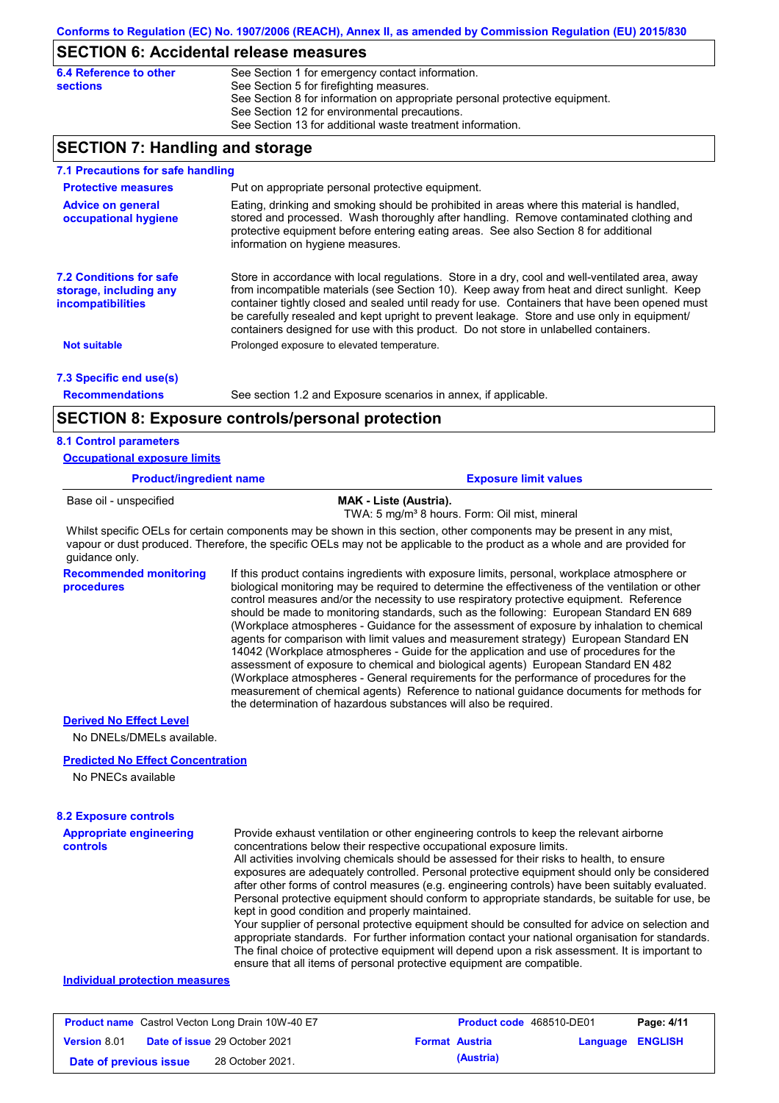### **SECTION 6: Accidental release measures**

| 6.4 Reference to other | See Section 1 for emergency contact information.                            |
|------------------------|-----------------------------------------------------------------------------|
| <b>sections</b>        | See Section 5 for firefighting measures.                                    |
|                        | See Section 8 for information on appropriate personal protective equipment. |
|                        | See Section 12 for environmental precautions.                               |
|                        | See Section 13 for additional waste treatment information.                  |

## **SECTION 7: Handling and storage**

| Put on appropriate personal protective equipment.<br><b>Protective measures</b><br>Eating, drinking and smoking should be prohibited in areas where this material is handled,<br><b>Advice on general</b><br>stored and processed. Wash thoroughly after handling. Remove contaminated clothing and<br>occupational hygiene<br>protective equipment before entering eating areas. See also Section 8 for additional<br>information on hygiene measures.<br><b>7.2 Conditions for safe</b><br>Store in accordance with local regulations. Store in a dry, cool and well-ventilated area, away<br>from incompatible materials (see Section 10). Keep away from heat and direct sunlight. Keep<br>storage, including any<br>container tightly closed and sealed until ready for use. Containers that have been opened must<br>incompatibilities<br>be carefully resealed and kept upright to prevent leakage. Store and use only in equipment/ | 7.1 Precautions for safe handling |  |
|---------------------------------------------------------------------------------------------------------------------------------------------------------------------------------------------------------------------------------------------------------------------------------------------------------------------------------------------------------------------------------------------------------------------------------------------------------------------------------------------------------------------------------------------------------------------------------------------------------------------------------------------------------------------------------------------------------------------------------------------------------------------------------------------------------------------------------------------------------------------------------------------------------------------------------------------|-----------------------------------|--|
|                                                                                                                                                                                                                                                                                                                                                                                                                                                                                                                                                                                                                                                                                                                                                                                                                                                                                                                                             |                                   |  |
|                                                                                                                                                                                                                                                                                                                                                                                                                                                                                                                                                                                                                                                                                                                                                                                                                                                                                                                                             |                                   |  |
| containers designed for use with this product. Do not store in unlabelled containers.                                                                                                                                                                                                                                                                                                                                                                                                                                                                                                                                                                                                                                                                                                                                                                                                                                                       |                                   |  |
| Prolonged exposure to elevated temperature.<br><b>Not suitable</b>                                                                                                                                                                                                                                                                                                                                                                                                                                                                                                                                                                                                                                                                                                                                                                                                                                                                          |                                   |  |
| 7.3 Specific end use(s)                                                                                                                                                                                                                                                                                                                                                                                                                                                                                                                                                                                                                                                                                                                                                                                                                                                                                                                     |                                   |  |
| <b>Recommendations</b><br>See section 1.2 and Exposure scenarios in annex, if applicable.                                                                                                                                                                                                                                                                                                                                                                                                                                                                                                                                                                                                                                                                                                                                                                                                                                                   |                                   |  |
| <b>SECTION 8: Exposure controls/personal protection</b>                                                                                                                                                                                                                                                                                                                                                                                                                                                                                                                                                                                                                                                                                                                                                                                                                                                                                     |                                   |  |
| <b>8.1 Control parameters</b><br><b>Occupational exposure limits</b>                                                                                                                                                                                                                                                                                                                                                                                                                                                                                                                                                                                                                                                                                                                                                                                                                                                                        |                                   |  |

| <b>Product/ingredient name</b> | <b>Exposure limit values</b>                                                        |
|--------------------------------|-------------------------------------------------------------------------------------|
| Base oil - unspecified         | MAK - Liste (Austria).<br>TWA: 5 mg/m <sup>3</sup> 8 hours. Form: Oil mist, mineral |

Whilst specific OELs for certain components may be shown in this section, other components may be present in any mist, vapour or dust produced. Therefore, the specific OELs may not be applicable to the product as a whole and are provided for guidance only.

**Recommended monitoring**  If this product contains ingredients with exposure limits, personal, workplace atmosphere or biological monitoring may be required to determine the effectiveness of the ventilation or other control measures and/or the necessity to use respiratory protective equipment. Reference should be made to monitoring standards, such as the following: European Standard EN 689 (Workplace atmospheres - Guidance for the assessment of exposure by inhalation to chemical agents for comparison with limit values and measurement strategy) European Standard EN 14042 (Workplace atmospheres - Guide for the application and use of procedures for the assessment of exposure to chemical and biological agents) European Standard EN 482 (Workplace atmospheres - General requirements for the performance of procedures for the measurement of chemical agents) Reference to national guidance documents for methods for the determination of hazardous substances will also be required.

#### **Derived No Effect Level**

**procedures**

No DNELs/DMELs available.

#### **Predicted No Effect Concentration**

No PNECs available

### **8.2 Exposure controls**

**Appropriate engineering controls** Provide exhaust ventilation or other engineering controls to keep the relevant airborne concentrations below their respective occupational exposure limits. All activities involving chemicals should be assessed for their risks to health, to ensure exposures are adequately controlled. Personal protective equipment should only be considered after other forms of control measures (e.g. engineering controls) have been suitably evaluated. Personal protective equipment should conform to appropriate standards, be suitable for use, be kept in good condition and properly maintained. Your supplier of personal protective equipment should be consulted for advice on selection and appropriate standards. For further information contact your national organisation for standards. The final choice of protective equipment will depend upon a risk assessment. It is important to

ensure that all items of personal protective equipment are compatible.

### **Individual protection measures**

| <b>Product name</b> Castrol Vecton Long Drain 10W-40 E7 |  |                                      | <b>Product code</b> 468510-DE01 | Page: 4/11            |                  |  |
|---------------------------------------------------------|--|--------------------------------------|---------------------------------|-----------------------|------------------|--|
| <b>Version 8.01</b>                                     |  | <b>Date of issue 29 October 2021</b> |                                 | <b>Format Austria</b> | Language ENGLISH |  |
| Date of previous issue                                  |  | 28 October 2021.                     |                                 | (Austria)             |                  |  |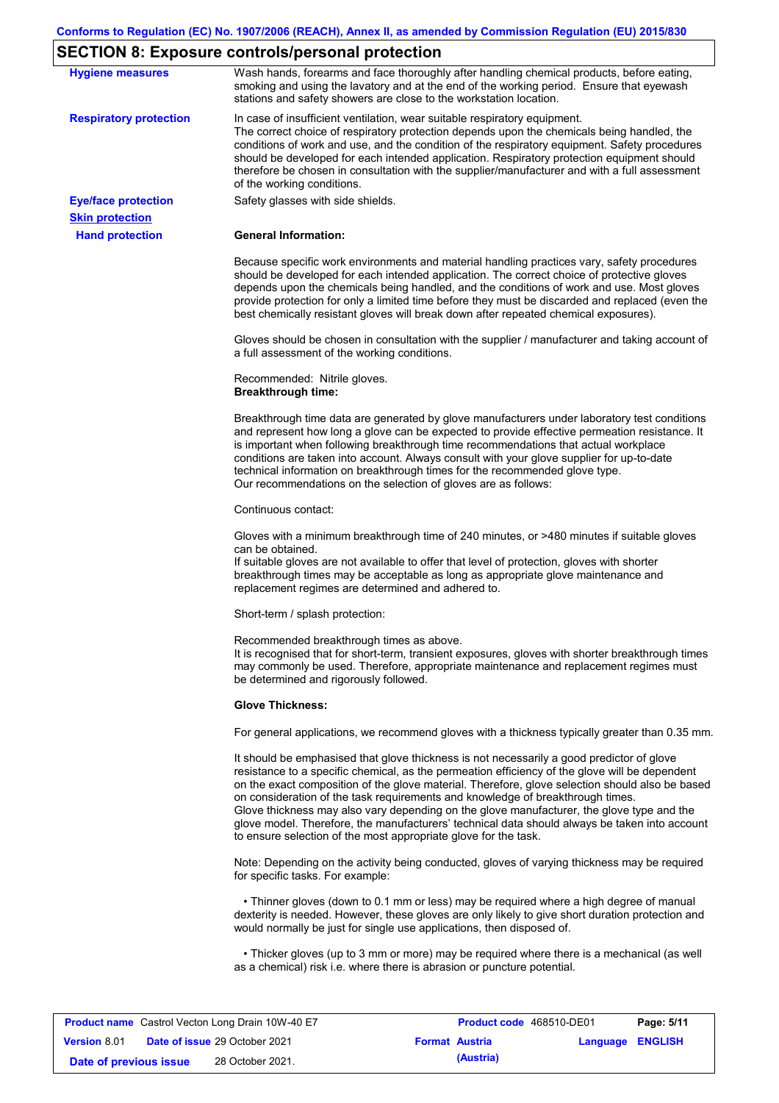## **SECTION 8: Exposure controls/personal protection**

| <b>Hygiene measures</b>                              | $\overline{\phantom{a}}$ pec HON o: Exposure controis/personal protection<br>Wash hands, forearms and face thoroughly after handling chemical products, before eating,<br>smoking and using the lavatory and at the end of the working period. Ensure that eyewash                                                                                                                                                                                                                                                                                                                                                                                |
|------------------------------------------------------|---------------------------------------------------------------------------------------------------------------------------------------------------------------------------------------------------------------------------------------------------------------------------------------------------------------------------------------------------------------------------------------------------------------------------------------------------------------------------------------------------------------------------------------------------------------------------------------------------------------------------------------------------|
|                                                      | stations and safety showers are close to the workstation location.                                                                                                                                                                                                                                                                                                                                                                                                                                                                                                                                                                                |
| <b>Respiratory protection</b>                        | In case of insufficient ventilation, wear suitable respiratory equipment.<br>The correct choice of respiratory protection depends upon the chemicals being handled, the<br>conditions of work and use, and the condition of the respiratory equipment. Safety procedures<br>should be developed for each intended application. Respiratory protection equipment should<br>therefore be chosen in consultation with the supplier/manufacturer and with a full assessment<br>of the working conditions.                                                                                                                                             |
| <b>Eye/face protection</b><br><b>Skin protection</b> | Safety glasses with side shields.                                                                                                                                                                                                                                                                                                                                                                                                                                                                                                                                                                                                                 |
| <b>Hand protection</b>                               | <b>General Information:</b>                                                                                                                                                                                                                                                                                                                                                                                                                                                                                                                                                                                                                       |
|                                                      | Because specific work environments and material handling practices vary, safety procedures<br>should be developed for each intended application. The correct choice of protective gloves<br>depends upon the chemicals being handled, and the conditions of work and use. Most gloves<br>provide protection for only a limited time before they must be discarded and replaced (even the<br>best chemically resistant gloves will break down after repeated chemical exposures).                                                                                                                                                                  |
|                                                      | Gloves should be chosen in consultation with the supplier / manufacturer and taking account of<br>a full assessment of the working conditions.                                                                                                                                                                                                                                                                                                                                                                                                                                                                                                    |
|                                                      | Recommended: Nitrile gloves.<br><b>Breakthrough time:</b>                                                                                                                                                                                                                                                                                                                                                                                                                                                                                                                                                                                         |
|                                                      | Breakthrough time data are generated by glove manufacturers under laboratory test conditions<br>and represent how long a glove can be expected to provide effective permeation resistance. It<br>is important when following breakthrough time recommendations that actual workplace<br>conditions are taken into account. Always consult with your glove supplier for up-to-date<br>technical information on breakthrough times for the recommended glove type.<br>Our recommendations on the selection of gloves are as follows:                                                                                                                |
|                                                      | Continuous contact:                                                                                                                                                                                                                                                                                                                                                                                                                                                                                                                                                                                                                               |
|                                                      | Gloves with a minimum breakthrough time of 240 minutes, or >480 minutes if suitable gloves<br>can be obtained.<br>If suitable gloves are not available to offer that level of protection, gloves with shorter<br>breakthrough times may be acceptable as long as appropriate glove maintenance and<br>replacement regimes are determined and adhered to.                                                                                                                                                                                                                                                                                          |
|                                                      | Short-term / splash protection:                                                                                                                                                                                                                                                                                                                                                                                                                                                                                                                                                                                                                   |
|                                                      | Recommended breakthrough times as above.<br>It is recognised that for short-term, transient exposures, gloves with shorter breakthrough times<br>may commonly be used. Therefore, appropriate maintenance and replacement regimes must<br>be determined and rigorously followed.                                                                                                                                                                                                                                                                                                                                                                  |
|                                                      | <b>Glove Thickness:</b>                                                                                                                                                                                                                                                                                                                                                                                                                                                                                                                                                                                                                           |
|                                                      | For general applications, we recommend gloves with a thickness typically greater than 0.35 mm.                                                                                                                                                                                                                                                                                                                                                                                                                                                                                                                                                    |
|                                                      | It should be emphasised that glove thickness is not necessarily a good predictor of glove<br>resistance to a specific chemical, as the permeation efficiency of the glove will be dependent<br>on the exact composition of the glove material. Therefore, glove selection should also be based<br>on consideration of the task requirements and knowledge of breakthrough times.<br>Glove thickness may also vary depending on the glove manufacturer, the glove type and the<br>glove model. Therefore, the manufacturers' technical data should always be taken into account<br>to ensure selection of the most appropriate glove for the task. |
|                                                      | Note: Depending on the activity being conducted, gloves of varying thickness may be required<br>for specific tasks. For example:                                                                                                                                                                                                                                                                                                                                                                                                                                                                                                                  |
|                                                      | • Thinner gloves (down to 0.1 mm or less) may be required where a high degree of manual<br>dexterity is needed. However, these gloves are only likely to give short duration protection and<br>would normally be just for single use applications, then disposed of.                                                                                                                                                                                                                                                                                                                                                                              |
|                                                      | • Thicker gloves (up to 3 mm or more) may be required where there is a mechanical (as well<br>as a chemical) risk i.e. where there is abrasion or puncture potential.                                                                                                                                                                                                                                                                                                                                                                                                                                                                             |

|                        | <b>Product name</b> Castrol Vecton Long Drain 10W-40 E7 |                       | Product code 468510-DE01 |                  | Page: 5/11 |
|------------------------|---------------------------------------------------------|-----------------------|--------------------------|------------------|------------|
| <b>Version 8.01</b>    | <b>Date of issue 29 October 2021</b>                    | <b>Format Austria</b> |                          | Language ENGLISH |            |
| Date of previous issue | 28 October 2021.                                        |                       | (Austria)                |                  |            |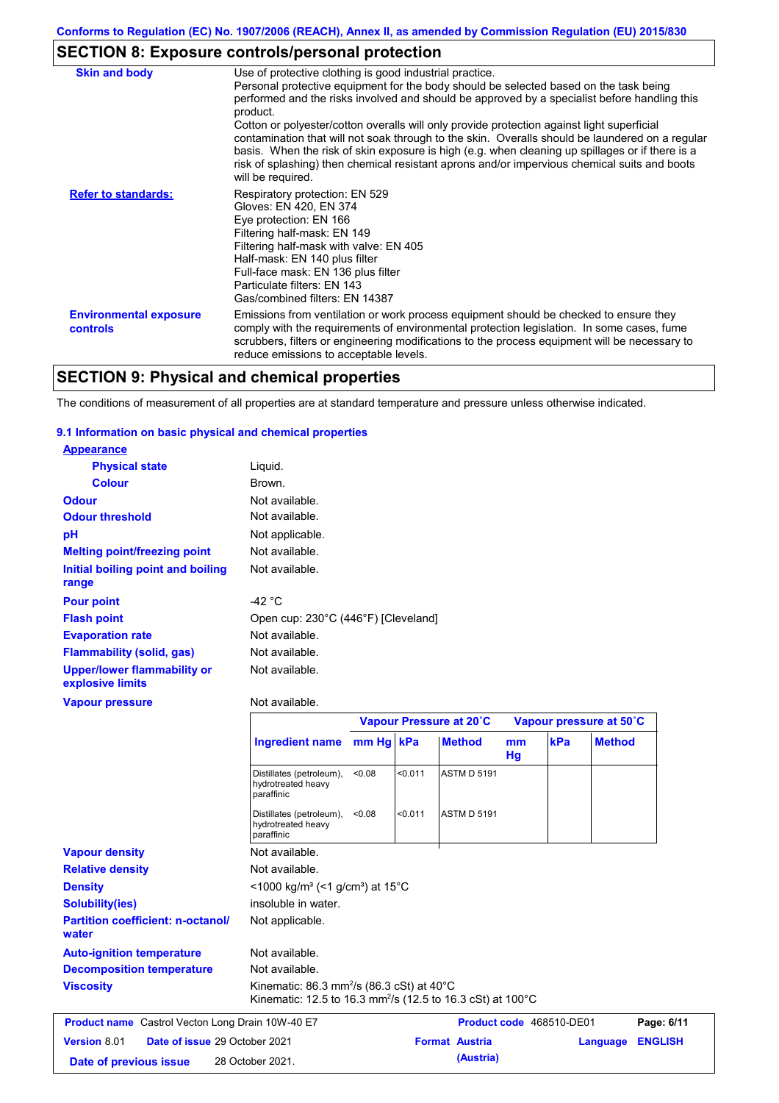# **SECTION 8: Exposure controls/personal protection**

| <b>Skin and body</b>                             | Use of protective clothing is good industrial practice.<br>Personal protective equipment for the body should be selected based on the task being<br>performed and the risks involved and should be approved by a specialist before handling this<br>product.<br>Cotton or polyester/cotton overalls will only provide protection against light superficial<br>contamination that will not soak through to the skin. Overalls should be laundered on a regular<br>basis. When the risk of skin exposure is high (e.g. when cleaning up spillages or if there is a<br>risk of splashing) then chemical resistant aprons and/or impervious chemical suits and boots<br>will be required. |
|--------------------------------------------------|---------------------------------------------------------------------------------------------------------------------------------------------------------------------------------------------------------------------------------------------------------------------------------------------------------------------------------------------------------------------------------------------------------------------------------------------------------------------------------------------------------------------------------------------------------------------------------------------------------------------------------------------------------------------------------------|
| <b>Refer to standards:</b>                       | Respiratory protection: EN 529<br>Gloves: EN 420, EN 374<br>Eye protection: EN 166<br>Filtering half-mask: EN 149<br>Filtering half-mask with valve: EN 405<br>Half-mask: EN 140 plus filter<br>Full-face mask: EN 136 plus filter<br>Particulate filters: EN 143<br>Gas/combined filters: EN 14387                                                                                                                                                                                                                                                                                                                                                                                   |
| <b>Environmental exposure</b><br><b>controls</b> | Emissions from ventilation or work process equipment should be checked to ensure they<br>comply with the requirements of environmental protection legislation. In some cases, fume<br>scrubbers, filters or engineering modifications to the process equipment will be necessary to<br>reduce emissions to acceptable levels.                                                                                                                                                                                                                                                                                                                                                         |

# **SECTION 9: Physical and chemical properties**

The conditions of measurement of all properties are at standard temperature and pressure unless otherwise indicated.

### **9.1 Information on basic physical and chemical properties**

**water**

| <b>Appearance</b>                                      |                                                                            |           |         |                         |          |     |                         |
|--------------------------------------------------------|----------------------------------------------------------------------------|-----------|---------|-------------------------|----------|-----|-------------------------|
| <b>Physical state</b>                                  | Liquid.                                                                    |           |         |                         |          |     |                         |
| <b>Colour</b>                                          | <b>Brown</b>                                                               |           |         |                         |          |     |                         |
| <b>Odour</b>                                           | Not available.                                                             |           |         |                         |          |     |                         |
| <b>Odour threshold</b>                                 | Not available.                                                             |           |         |                         |          |     |                         |
| pH                                                     | Not applicable.                                                            |           |         |                         |          |     |                         |
| <b>Melting point/freezing point</b>                    | Not available.                                                             |           |         |                         |          |     |                         |
| Initial boiling point and boiling<br>range             | Not available.                                                             |           |         |                         |          |     |                         |
| <b>Pour point</b>                                      | $-42 °C$                                                                   |           |         |                         |          |     |                         |
| <b>Flash point</b>                                     | Open cup: 230°C (446°F) [Cleveland]                                        |           |         |                         |          |     |                         |
| <b>Evaporation rate</b>                                | Not available.                                                             |           |         |                         |          |     |                         |
| <b>Flammability (solid, gas)</b>                       | Not available.                                                             |           |         |                         |          |     |                         |
| <b>Upper/lower flammability or</b><br>explosive limits | Not available.                                                             |           |         |                         |          |     |                         |
| <b>Vapour pressure</b>                                 | Not available.                                                             |           |         |                         |          |     |                         |
|                                                        |                                                                            |           |         | Vapour Pressure at 20°C |          |     | Vapour pressure at 50°C |
|                                                        | <b>Ingredient name</b>                                                     | mm Hg kPa |         | <b>Method</b>           | mm<br>Hg | kPa | <b>Method</b>           |
|                                                        | Distillates (petroleum),<br>hydrotreated heavy<br>paraffinic               | < 0.08    | < 0.011 | <b>ASTM D 5191</b>      |          |     |                         |
|                                                        | Distillates (petroleum),<br>hydrotreated heavy<br>paraffinic               | < 0.08    | < 0.011 | <b>ASTM D 5191</b>      |          |     |                         |
| <b>Vapour density</b>                                  | Not available.                                                             |           |         |                         |          |     |                         |
| <b>Relative density</b>                                | Not available.                                                             |           |         |                         |          |     |                         |
| <b>Density</b>                                         | $\leq$ 1000 kg/m <sup>3</sup> (<1 g/cm <sup>3</sup> ) at 15 <sup>°</sup> C |           |         |                         |          |     |                         |
| <b>Solubility(ies)</b>                                 | insoluble in water.                                                        |           |         |                         |          |     |                         |
| <b>Partition coefficient: n-octanol/</b>               |                                                                            |           |         |                         |          |     |                         |

**Auto-ignition temperature Viscosity Kinematic: 86.3 mm<sup>2</sup>/s (86.3 cSt) at 40°C** Kinematic: 12.5 to 16.3 mm²/s (12.5 to 16.3 cSt) at 100°C **Decomposition temperature** Not available. Not available.

| <b>Product name</b> Castrol Vecton Long Drain 10W-40 E7 |  | <b>Product code</b> 468510-DE01      | Page: 6/11            |           |                         |  |
|---------------------------------------------------------|--|--------------------------------------|-----------------------|-----------|-------------------------|--|
| <b>Version 8.01</b>                                     |  | <b>Date of issue 29 October 2021</b> | <b>Format Austria</b> |           | <b>Language ENGLISH</b> |  |
| Date of previous issue                                  |  | 28 October 2021.                     |                       | (Austria) |                         |  |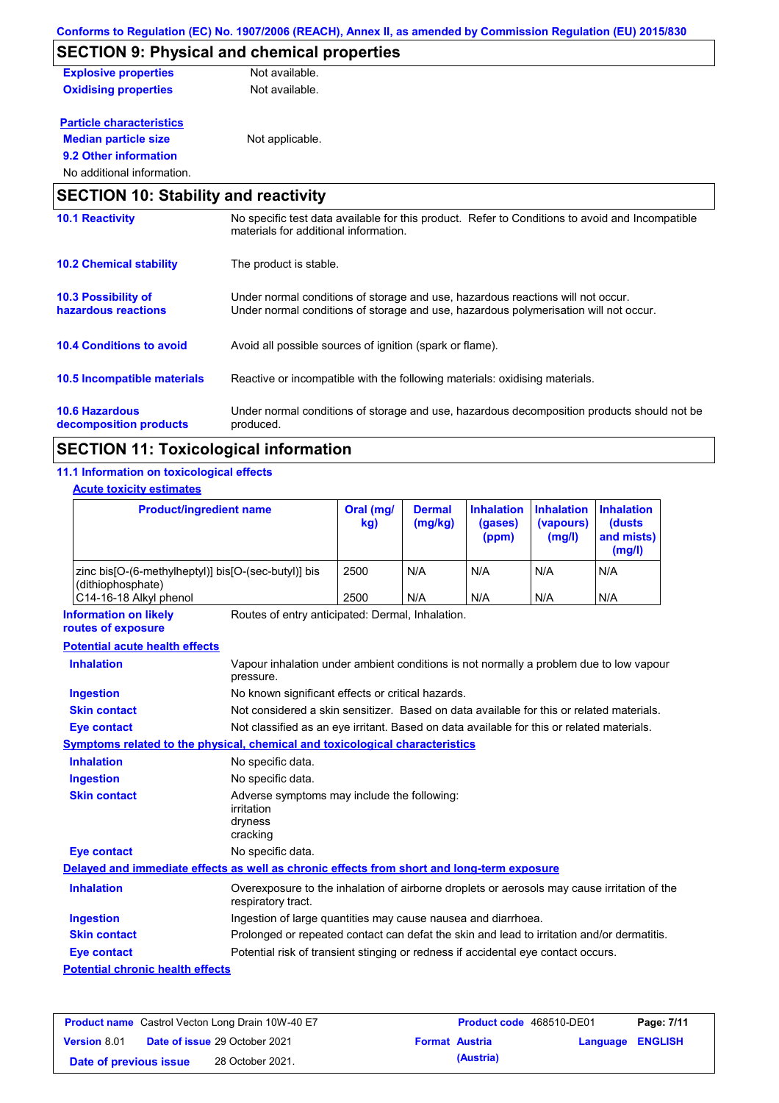|                                             | <u> COMONIS IO REGUIADON (EC) NO. 1907/2000 (REACH), ANNEX II, as amended by COMINISSION Reguiadon (EU) 2019/050</u>                     |
|---------------------------------------------|------------------------------------------------------------------------------------------------------------------------------------------|
|                                             | <b>SECTION 9: Physical and chemical properties</b>                                                                                       |
| <b>Explosive properties</b>                 | Not available.                                                                                                                           |
| <b>Oxidising properties</b>                 | Not available.                                                                                                                           |
| <b>Particle characteristics</b>             |                                                                                                                                          |
| <b>Median particle size</b>                 | Not applicable.                                                                                                                          |
| 9.2 Other information                       |                                                                                                                                          |
| No additional information.                  |                                                                                                                                          |
| <b>SECTION 10: Stability and reactivity</b> |                                                                                                                                          |
| <b>10.1 Reactivity</b>                      | No specific test data available for this product. Refer to Conditions to avoid and Incompatible<br>materials for additional information. |

| <b>10.2 Chemical stability</b>                    | The product is stable.                                                                                                                                                  |
|---------------------------------------------------|-------------------------------------------------------------------------------------------------------------------------------------------------------------------------|
| <b>10.3 Possibility of</b><br>hazardous reactions | Under normal conditions of storage and use, hazardous reactions will not occur.<br>Under normal conditions of storage and use, hazardous polymerisation will not occur. |
| <b>10.4 Conditions to avoid</b>                   | Avoid all possible sources of ignition (spark or flame).                                                                                                                |
| 10.5 Incompatible materials                       | Reactive or incompatible with the following materials: oxidising materials.                                                                                             |
| <b>10.6 Hazardous</b><br>decomposition products   | Under normal conditions of storage and use, hazardous decomposition products should not be<br>produced.                                                                 |

# **SECTION 11: Toxicological information**

### **11.1 Information on toxicological effects**

### **Acute toxicity estimates**

| <b>Product/ingredient name</b>                                                                                           |                                                                                                                   | Oral (mg/<br>kg) | <b>Dermal</b><br>(mg/kg) | <b>Inhalation</b><br>(gases)<br>(ppm) | <b>Inhalation</b><br>(vapours)<br>(mg/l) | <b>Inhalation</b><br>(dusts<br>and mists)<br>(mg/l) |
|--------------------------------------------------------------------------------------------------------------------------|-------------------------------------------------------------------------------------------------------------------|------------------|--------------------------|---------------------------------------|------------------------------------------|-----------------------------------------------------|
| zinc bis[O-(6-methylheptyl)] bis[O-(sec-butyl)] bis<br>(dithiophosphate)                                                 |                                                                                                                   | 2500             | N/A                      | N/A                                   | N/A                                      | N/A                                                 |
| C14-16-18 Alkyl phenol                                                                                                   |                                                                                                                   | 2500             | N/A                      | N/A                                   | N/A                                      | N/A                                                 |
| <b>Information on likely</b><br>routes of exposure                                                                       | Routes of entry anticipated: Dermal, Inhalation.                                                                  |                  |                          |                                       |                                          |                                                     |
| <b>Potential acute health effects</b>                                                                                    |                                                                                                                   |                  |                          |                                       |                                          |                                                     |
| <b>Inhalation</b><br>Vapour inhalation under ambient conditions is not normally a problem due to low vapour<br>pressure. |                                                                                                                   |                  |                          |                                       |                                          |                                                     |
| <b>Ingestion</b>                                                                                                         | No known significant effects or critical hazards.                                                                 |                  |                          |                                       |                                          |                                                     |
| <b>Skin contact</b>                                                                                                      | Not considered a skin sensitizer. Based on data available for this or related materials.                          |                  |                          |                                       |                                          |                                                     |
| <b>Eye contact</b>                                                                                                       | Not classified as an eye irritant. Based on data available for this or related materials.                         |                  |                          |                                       |                                          |                                                     |
| Symptoms related to the physical, chemical and toxicological characteristics                                             |                                                                                                                   |                  |                          |                                       |                                          |                                                     |
| <b>Inhalation</b>                                                                                                        | No specific data.                                                                                                 |                  |                          |                                       |                                          |                                                     |
| <b>Ingestion</b>                                                                                                         | No specific data.                                                                                                 |                  |                          |                                       |                                          |                                                     |
| <b>Skin contact</b>                                                                                                      | Adverse symptoms may include the following:<br>irritation<br>dryness<br>cracking                                  |                  |                          |                                       |                                          |                                                     |
| <b>Eye contact</b>                                                                                                       | No specific data.                                                                                                 |                  |                          |                                       |                                          |                                                     |
| Delayed and immediate effects as well as chronic effects from short and long-term exposure                               |                                                                                                                   |                  |                          |                                       |                                          |                                                     |
| <b>Inhalation</b>                                                                                                        | Overexposure to the inhalation of airborne droplets or aerosols may cause irritation of the<br>respiratory tract. |                  |                          |                                       |                                          |                                                     |
| <b>Ingestion</b>                                                                                                         | Ingestion of large quantities may cause nausea and diarrhoea.                                                     |                  |                          |                                       |                                          |                                                     |
| <b>Skin contact</b>                                                                                                      | Prolonged or repeated contact can defat the skin and lead to irritation and/or dermatitis.                        |                  |                          |                                       |                                          |                                                     |
| <b>Eye contact</b>                                                                                                       | Potential risk of transient stinging or redness if accidental eye contact occurs.                                 |                  |                          |                                       |                                          |                                                     |
| <b>Potential chronic health effects</b>                                                                                  |                                                                                                                   |                  |                          |                                       |                                          |                                                     |

| <b>Product name</b> Castrol Vecton Long Drain 10W-40 E7 |  |                                      | <b>Product code</b> 468510-DE01 | Page: 7/11            |                         |  |
|---------------------------------------------------------|--|--------------------------------------|---------------------------------|-----------------------|-------------------------|--|
| <b>Version 8.01</b>                                     |  | <b>Date of issue 29 October 2021</b> |                                 | <b>Format Austria</b> | <b>Language ENGLISH</b> |  |
| Date of previous issue                                  |  | 28 October 2021.                     |                                 | (Austria)             |                         |  |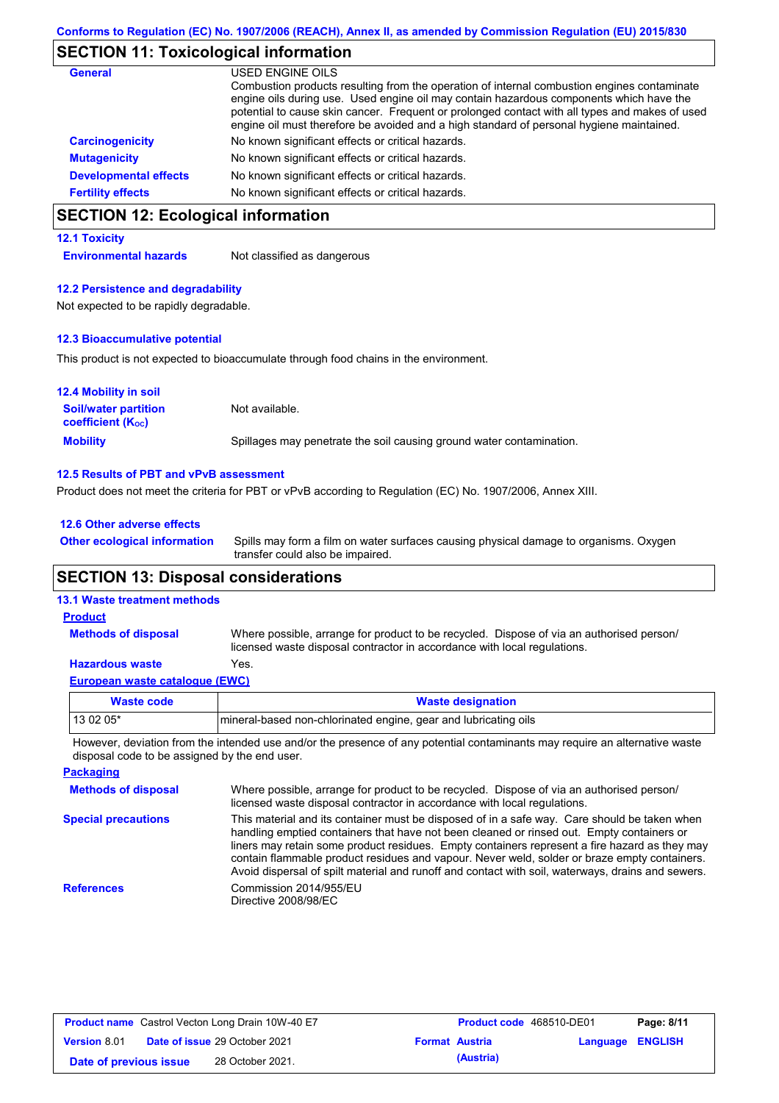# **SECTION 11: Toxicological information**

| <b>General</b>               | USED ENGINE OILS                                                                                                                                                                                                                                                                                                                                                                     |
|------------------------------|--------------------------------------------------------------------------------------------------------------------------------------------------------------------------------------------------------------------------------------------------------------------------------------------------------------------------------------------------------------------------------------|
|                              | Combustion products resulting from the operation of internal combustion engines contaminate<br>engine oils during use. Used engine oil may contain hazardous components which have the<br>potential to cause skin cancer. Frequent or prolonged contact with all types and makes of used<br>engine oil must therefore be avoided and a high standard of personal hygiene maintained. |
| <b>Carcinogenicity</b>       | No known significant effects or critical hazards.                                                                                                                                                                                                                                                                                                                                    |
| <b>Mutagenicity</b>          | No known significant effects or critical hazards.                                                                                                                                                                                                                                                                                                                                    |
| <b>Developmental effects</b> | No known significant effects or critical hazards.                                                                                                                                                                                                                                                                                                                                    |
| <b>Fertility effects</b>     | No known significant effects or critical hazards.                                                                                                                                                                                                                                                                                                                                    |

# **SECTION 12: Ecological information**

### **12.1 Toxicity**

**Environmental hazards** Not classified as dangerous

### **12.2 Persistence and degradability**

Not expected to be rapidly degradable.

#### **12.3 Bioaccumulative potential**

This product is not expected to bioaccumulate through food chains in the environment.

| <b>12.4 Mobility in soil</b>                            |                                                                      |
|---------------------------------------------------------|----------------------------------------------------------------------|
| <b>Soil/water partition</b><br><b>coefficient (Koc)</b> | Not available.                                                       |
| <b>Mobility</b>                                         | Spillages may penetrate the soil causing ground water contamination. |

#### **12.5 Results of PBT and vPvB assessment**

Product does not meet the criteria for PBT or vPvB according to Regulation (EC) No. 1907/2006, Annex XIII.

| 12.6 Other adverse effects          |            |  |  |  |
|-------------------------------------|------------|--|--|--|
| <b>Other ecological information</b> | Spills may |  |  |  |

Spills may form a film on water surfaces causing physical damage to organisms. Oxygen transfer could also be impaired.

## **SECTION 13: Disposal considerations**

### **13.1 Waste treatment methods**

**Methods of disposal**

#### **Product**

Where possible, arrange for product to be recycled. Dispose of via an authorised person/ licensed waste disposal contractor in accordance with local regulations.

### **Hazardous waste** Yes.

| European waste catalogue (EWC) |                                                                 |  |  |  |
|--------------------------------|-----------------------------------------------------------------|--|--|--|
| <b>Waste code</b>              | <b>Waste designation</b>                                        |  |  |  |
| 13 02 05*                      | mineral-based non-chlorinated engine, gear and lubricating oils |  |  |  |

However, deviation from the intended use and/or the presence of any potential contaminants may require an alternative waste disposal code to be assigned by the end user.

| <b>Packaging</b>           |                                                                                                                                                                                                                                                                                                                                                                                                                                                                                                 |
|----------------------------|-------------------------------------------------------------------------------------------------------------------------------------------------------------------------------------------------------------------------------------------------------------------------------------------------------------------------------------------------------------------------------------------------------------------------------------------------------------------------------------------------|
| <b>Methods of disposal</b> | Where possible, arrange for product to be recycled. Dispose of via an authorised person/<br>licensed waste disposal contractor in accordance with local regulations.                                                                                                                                                                                                                                                                                                                            |
| <b>Special precautions</b> | This material and its container must be disposed of in a safe way. Care should be taken when<br>handling emptied containers that have not been cleaned or rinsed out. Empty containers or<br>liners may retain some product residues. Empty containers represent a fire hazard as they may<br>contain flammable product residues and vapour. Never weld, solder or braze empty containers.<br>Avoid dispersal of spilt material and runoff and contact with soil, waterways, drains and sewers. |
| <b>References</b>          | Commission 2014/955/EU<br>Directive 2008/98/EC                                                                                                                                                                                                                                                                                                                                                                                                                                                  |

| <b>Product name</b> Castrol Vecton Long Drain 10W-40 E7 |  |                                      | <b>Product code</b> 468510-DE01 |                       | Page: 8/11              |  |
|---------------------------------------------------------|--|--------------------------------------|---------------------------------|-----------------------|-------------------------|--|
| <b>Version 8.01</b>                                     |  | <b>Date of issue 29 October 2021</b> |                                 | <b>Format Austria</b> | <b>Language ENGLISH</b> |  |
| Date of previous issue                                  |  | 28 October 2021.                     |                                 | (Austria)             |                         |  |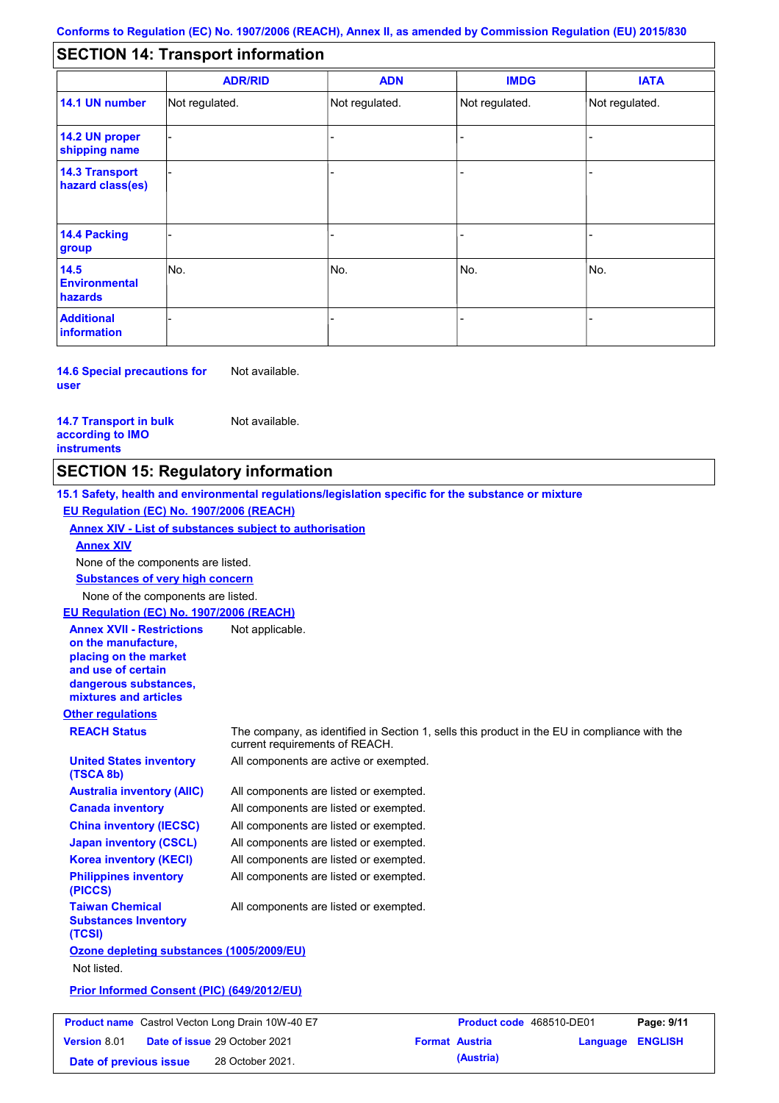#### - - - - - - - - - Not regulated. Not regulated. Not regulated. - - - **SECTION 14: Transport information ADR/RID IMDG IATA 14.1 UN number 14.2 UN proper shipping name 14.3 Transport hazard class(es) 14.4 Packing group ADN Additional information 14.5 Environmental hazards** No. 1980 | No. 1980 | No. 1980 | No. 1980 | No. 1980 | No. 1980 | No. 1980 | No. 1980 | No. 1980 | No. 1980 | Not regulated. - -<br>No. - -

**14.6 Special precautions for user** Not available.

**14.7 Transport in bulk according to IMO instruments**

Not available.

# **SECTION 15: Regulatory information**

**Other regulations REACH Status** The company, as identified in Section 1, sells this product in the EU in compliance with the current requirements of REACH. **15.1 Safety, health and environmental regulations/legislation specific for the substance or mixture EU Regulation (EC) No. 1907/2006 (REACH) Annex XIV - List of substances subject to authorisation Substances of very high concern** None of the components are listed. All components are listed or exempted. All components are listed or exempted. All components are listed or exempted. All components are listed or exempted. All components are active or exempted. All components are listed or exempted. All components are listed or exempted. **United States inventory (TSCA 8b) Australia inventory (AIIC) Canada inventory China inventory (IECSC) Japan inventory (CSCL) Korea inventory (KECI) Philippines inventory (PICCS) Taiwan Chemical Substances Inventory (TCSI)** All components are listed or exempted. **Ozone depleting substances (1005/2009/EU)** Not listed. **Prior Informed Consent (PIC) (649/2012/EU)** None of the components are listed. **Annex XIV EU Regulation (EC) No. 1907/2006 (REACH) Annex XVII - Restrictions on the manufacture, placing on the market and use of certain dangerous substances, mixtures and articles** Not applicable. **Product name** Castrol Vecton Long Drain 10W-40 E7 **Product Code** 468510-DE01 **Page: 9/11 Version** 8.01

**Date of issue** 29 October 2021 **Format Austria Language ENGLISH Date of previous issue (Austria)** 28 October 2021.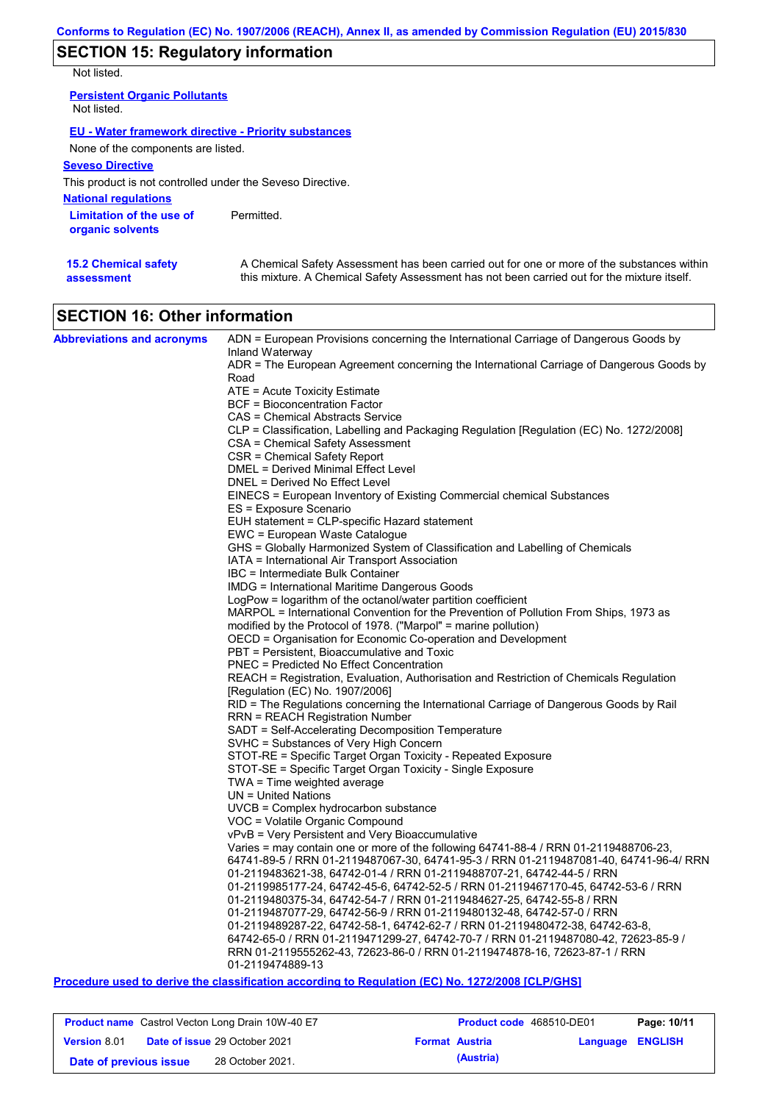# **SECTION 15: Regulatory information**

Not listed.

**15.2 Chemical safety** 

**assessment**

| <b>Persistent Organic Pollutants</b><br>Not listed.         |            |
|-------------------------------------------------------------|------------|
| <b>EU - Water framework directive - Priority substances</b> |            |
| None of the components are listed.                          |            |
| <b>Seveso Directive</b>                                     |            |
| This product is not controlled under the Seveso Directive.  |            |
| <b>National regulations</b>                                 |            |
| Limitation of the use of<br>organic solvents                | Permitted. |

A Chemical Safety Assessment has been carried out for one or more of the substances within this mixture. A Chemical Safety Assessment has not been carried out for the mixture itself.

| <b>SECTION 16: Other information</b> |
|--------------------------------------|

| <b>Abbreviations and acronyms</b> | ADN = European Provisions concerning the International Carriage of Dangerous Goods by                       |
|-----------------------------------|-------------------------------------------------------------------------------------------------------------|
|                                   | Inland Waterway<br>ADR = The European Agreement concerning the International Carriage of Dangerous Goods by |
|                                   | Road                                                                                                        |
|                                   | $ATE =$ Acute Toxicity Estimate                                                                             |
|                                   | BCF = Bioconcentration Factor                                                                               |
|                                   | CAS = Chemical Abstracts Service                                                                            |
|                                   | CLP = Classification, Labelling and Packaging Regulation [Regulation (EC) No. 1272/2008]                    |
|                                   | CSA = Chemical Safety Assessment                                                                            |
|                                   | CSR = Chemical Safety Report                                                                                |
|                                   | DMEL = Derived Minimal Effect Level                                                                         |
|                                   | DNEL = Derived No Effect Level                                                                              |
|                                   | EINECS = European Inventory of Existing Commercial chemical Substances                                      |
|                                   | ES = Exposure Scenario                                                                                      |
|                                   | EUH statement = CLP-specific Hazard statement<br>EWC = European Waste Catalogue                             |
|                                   | GHS = Globally Harmonized System of Classification and Labelling of Chemicals                               |
|                                   | IATA = International Air Transport Association                                                              |
|                                   | IBC = Intermediate Bulk Container                                                                           |
|                                   | <b>IMDG = International Maritime Dangerous Goods</b>                                                        |
|                                   | LogPow = logarithm of the octanol/water partition coefficient                                               |
|                                   | MARPOL = International Convention for the Prevention of Pollution From Ships, 1973 as                       |
|                                   | modified by the Protocol of 1978. ("Marpol" = marine pollution)                                             |
|                                   | OECD = Organisation for Economic Co-operation and Development                                               |
|                                   | PBT = Persistent, Bioaccumulative and Toxic                                                                 |
|                                   | <b>PNEC</b> = Predicted No Effect Concentration                                                             |
|                                   | REACH = Registration, Evaluation, Authorisation and Restriction of Chemicals Regulation                     |
|                                   | [Regulation (EC) No. 1907/2006]                                                                             |
|                                   | RID = The Regulations concerning the International Carriage of Dangerous Goods by Rail                      |
|                                   | <b>RRN = REACH Registration Number</b>                                                                      |
|                                   | SADT = Self-Accelerating Decomposition Temperature                                                          |
|                                   | SVHC = Substances of Very High Concern<br>STOT-RE = Specific Target Organ Toxicity - Repeated Exposure      |
|                                   | STOT-SE = Specific Target Organ Toxicity - Single Exposure                                                  |
|                                   | $TWA = Time weighted average$                                                                               |
|                                   | $UN = United Nations$                                                                                       |
|                                   | $UVCB = Complex\ hydrocarbon\ substance$                                                                    |
|                                   | VOC = Volatile Organic Compound                                                                             |
|                                   | vPvB = Very Persistent and Very Bioaccumulative                                                             |
|                                   | Varies = may contain one or more of the following $64741-88-4$ / RRN 01-2119488706-23,                      |
|                                   | 64741-89-5 / RRN 01-2119487067-30, 64741-95-3 / RRN 01-2119487081-40, 64741-96-4/ RRN                       |
|                                   | 01-2119483621-38, 64742-01-4 / RRN 01-2119488707-21, 64742-44-5 / RRN                                       |
|                                   | 01-2119985177-24, 64742-45-6, 64742-52-5 / RRN 01-2119467170-45, 64742-53-6 / RRN                           |
|                                   | 01-2119480375-34, 64742-54-7 / RRN 01-2119484627-25, 64742-55-8 / RRN                                       |
|                                   | 01-2119487077-29, 64742-56-9 / RRN 01-2119480132-48, 64742-57-0 / RRN                                       |
|                                   | 01-2119489287-22, 64742-58-1, 64742-62-7 / RRN 01-2119480472-38, 64742-63-8,                                |
|                                   | 64742-65-0 / RRN 01-2119471299-27, 64742-70-7 / RRN 01-2119487080-42, 72623-85-9 /                          |
|                                   | RRN 01-2119555262-43, 72623-86-0 / RRN 01-2119474878-16, 72623-87-1 / RRN<br>01-2119474889-13               |

### **Procedure used to derive the classification according to Regulation (EC) No. 1272/2008 [CLP/GHS]**

| <b>Product name</b> Castrol Vecton Long Drain 10W-40 E7 |                                      | Product code 468510-DE01 |                         | Page: 10/11 |
|---------------------------------------------------------|--------------------------------------|--------------------------|-------------------------|-------------|
| <b>Version 8.01</b>                                     | <b>Date of issue 29 October 2021</b> | <b>Format Austria</b>    | <b>Language ENGLISH</b> |             |
| Date of previous issue                                  | 28 October 2021.                     | (Austria)                |                         |             |